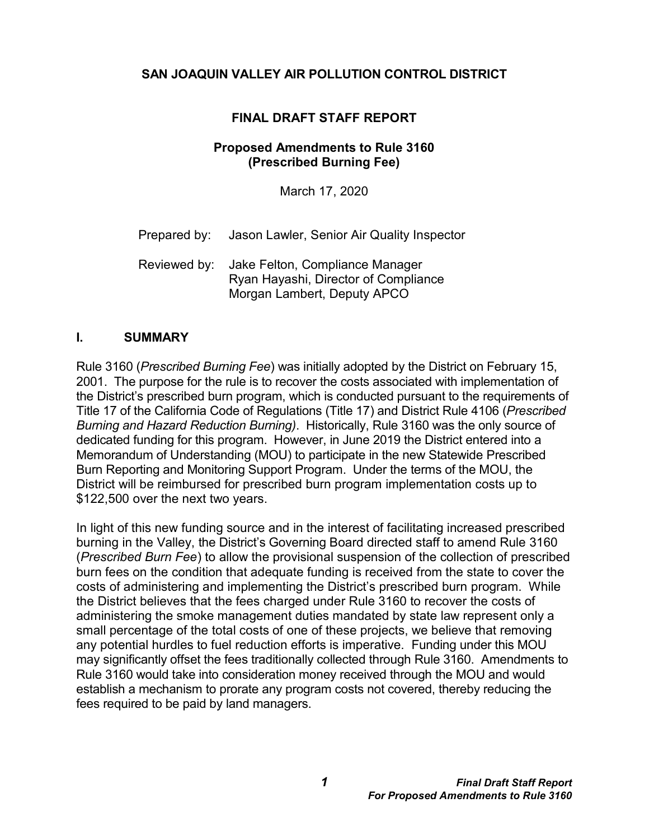#### FINAL DRAFT STAFF REPORT

#### Proposed Amendments to Rule 3160 (Prescribed Burning Fee)

March 17, 2020

- Prepared by: Jason Lawler, Senior Air Quality Inspector
- Reviewed by: Jake Felton, Compliance Manager Ryan Hayashi, Director of Compliance Morgan Lambert, Deputy APCO

#### I. SUMMARY

Rule 3160 (Prescribed Burning Fee) was initially adopted by the District on February 15, 2001. The purpose for the rule is to recover the costs associated with implementation of the District's prescribed burn program, which is conducted pursuant to the requirements of Title 17 of the California Code of Regulations (Title 17) and District Rule 4106 (Prescribed Burning and Hazard Reduction Burning). Historically, Rule 3160 was the only source of dedicated funding for this program. However, in June 2019 the District entered into a Memorandum of Understanding (MOU) to participate in the new Statewide Prescribed Burn Reporting and Monitoring Support Program. Under the terms of the MOU, the District will be reimbursed for prescribed burn program implementation costs up to \$122,500 over the next two years.

In light of this new funding source and in the interest of facilitating increased prescribed burning in the Valley, the District's Governing Board directed staff to amend Rule 3160 (Prescribed Burn Fee) to allow the provisional suspension of the collection of prescribed burn fees on the condition that adequate funding is received from the state to cover the costs of administering and implementing the District's prescribed burn program. While the District believes that the fees charged under Rule 3160 to recover the costs of administering the smoke management duties mandated by state law represent only a small percentage of the total costs of one of these projects, we believe that removing any potential hurdles to fuel reduction efforts is imperative. Funding under this MOU may significantly offset the fees traditionally collected through Rule 3160. Amendments to Rule 3160 would take into consideration money received through the MOU and would establish a mechanism to prorate any program costs not covered, thereby reducing the fees required to be paid by land managers.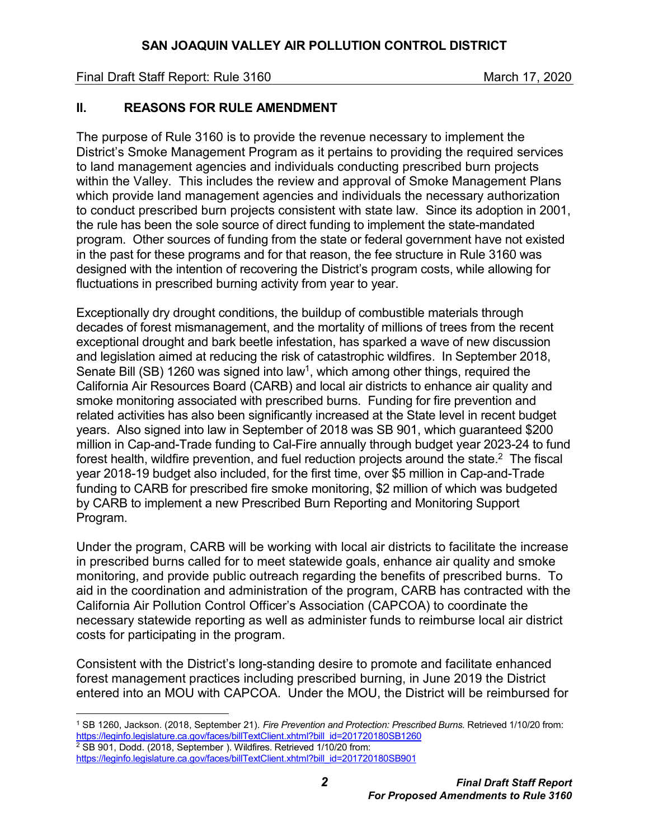Final Draft Staff Report: Rule 3160 March 17, 2020

### II. REASONS FOR RULE AMENDMENT

The purpose of Rule 3160 is to provide the revenue necessary to implement the District's Smoke Management Program as it pertains to providing the required services to land management agencies and individuals conducting prescribed burn projects within the Valley. This includes the review and approval of Smoke Management Plans which provide land management agencies and individuals the necessary authorization to conduct prescribed burn projects consistent with state law. Since its adoption in 2001, the rule has been the sole source of direct funding to implement the state-mandated program. Other sources of funding from the state or federal government have not existed in the past for these programs and for that reason, the fee structure in Rule 3160 was designed with the intention of recovering the District's program costs, while allowing for fluctuations in prescribed burning activity from year to year.

Exceptionally dry drought conditions, the buildup of combustible materials through decades of forest mismanagement, and the mortality of millions of trees from the recent exceptional drought and bark beetle infestation, has sparked a wave of new discussion and legislation aimed at reducing the risk of catastrophic wildfires. In September 2018, Senate Bill (SB) 1260 was signed into law<sup>1</sup>, which among other things, required the California Air Resources Board (CARB) and local air districts to enhance air quality and smoke monitoring associated with prescribed burns. Funding for fire prevention and related activities has also been significantly increased at the State level in recent budget years. Also signed into law in September of 2018 was SB 901, which guaranteed \$200 million in Cap-and-Trade funding to Cal-Fire annually through budget year 2023-24 to fund forest health, wildfire prevention, and fuel reduction projects around the state. $2$  The fiscal year 2018-19 budget also included, for the first time, over \$5 million in Cap-and-Trade funding to CARB for prescribed fire smoke monitoring, \$2 million of which was budgeted by CARB to implement a new Prescribed Burn Reporting and Monitoring Support Program.

Under the program, CARB will be working with local air districts to facilitate the increase in prescribed burns called for to meet statewide goals, enhance air quality and smoke monitoring, and provide public outreach regarding the benefits of prescribed burns. To aid in the coordination and administration of the program, CARB has contracted with the California Air Pollution Control Officer's Association (CAPCOA) to coordinate the necessary statewide reporting as well as administer funds to reimburse local air district costs for participating in the program.

Consistent with the District's long-standing desire to promote and facilitate enhanced forest management practices including prescribed burning, in June 2019 the District entered into an MOU with CAPCOA. Under the MOU, the District will be reimbursed for

 $\overline{a}$ 

<sup>&</sup>lt;sup>1</sup> SB 1260, Jackson. (2018, September 21). Fire Prevention and Protection: Prescribed Burns. Retrieved 1/10/20 from: https://leginfo.legislature.ca.gov/faces/billTextClient.xhtml?bill\_id=201720180SB1260 2 SB 901, Dodd. (2018, September ). Wildfires. Retrieved 1/10/20 from:

https://leginfo.legislature.ca.gov/faces/billTextClient.xhtml?bill\_id=201720180SB901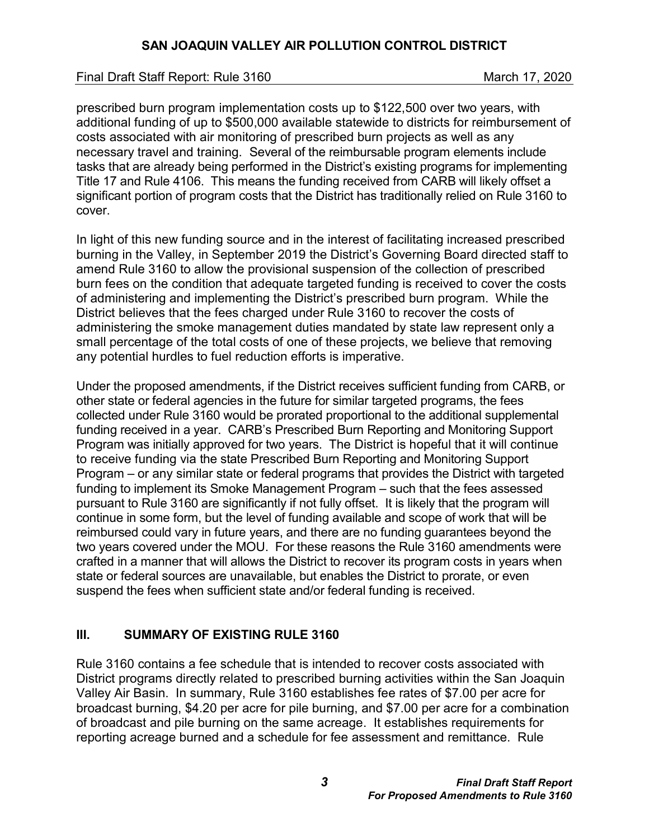Final Draft Staff Report: Rule 3160 March 17, 2020

prescribed burn program implementation costs up to \$122,500 over two years, with additional funding of up to \$500,000 available statewide to districts for reimbursement of costs associated with air monitoring of prescribed burn projects as well as any necessary travel and training. Several of the reimbursable program elements include tasks that are already being performed in the District's existing programs for implementing Title 17 and Rule 4106. This means the funding received from CARB will likely offset a significant portion of program costs that the District has traditionally relied on Rule 3160 to cover.

In light of this new funding source and in the interest of facilitating increased prescribed burning in the Valley, in September 2019 the District's Governing Board directed staff to amend Rule 3160 to allow the provisional suspension of the collection of prescribed burn fees on the condition that adequate targeted funding is received to cover the costs of administering and implementing the District's prescribed burn program. While the District believes that the fees charged under Rule 3160 to recover the costs of administering the smoke management duties mandated by state law represent only a small percentage of the total costs of one of these projects, we believe that removing any potential hurdles to fuel reduction efforts is imperative.

Under the proposed amendments, if the District receives sufficient funding from CARB, or other state or federal agencies in the future for similar targeted programs, the fees collected under Rule 3160 would be prorated proportional to the additional supplemental funding received in a year. CARB's Prescribed Burn Reporting and Monitoring Support Program was initially approved for two years. The District is hopeful that it will continue to receive funding via the state Prescribed Burn Reporting and Monitoring Support Program – or any similar state or federal programs that provides the District with targeted funding to implement its Smoke Management Program – such that the fees assessed pursuant to Rule 3160 are significantly if not fully offset. It is likely that the program will continue in some form, but the level of funding available and scope of work that will be reimbursed could vary in future years, and there are no funding guarantees beyond the two years covered under the MOU. For these reasons the Rule 3160 amendments were crafted in a manner that will allows the District to recover its program costs in years when state or federal sources are unavailable, but enables the District to prorate, or even suspend the fees when sufficient state and/or federal funding is received.

### III. SUMMARY OF EXISTING RULE 3160

Rule 3160 contains a fee schedule that is intended to recover costs associated with District programs directly related to prescribed burning activities within the San Joaquin Valley Air Basin. In summary, Rule 3160 establishes fee rates of \$7.00 per acre for broadcast burning, \$4.20 per acre for pile burning, and \$7.00 per acre for a combination of broadcast and pile burning on the same acreage. It establishes requirements for reporting acreage burned and a schedule for fee assessment and remittance. Rule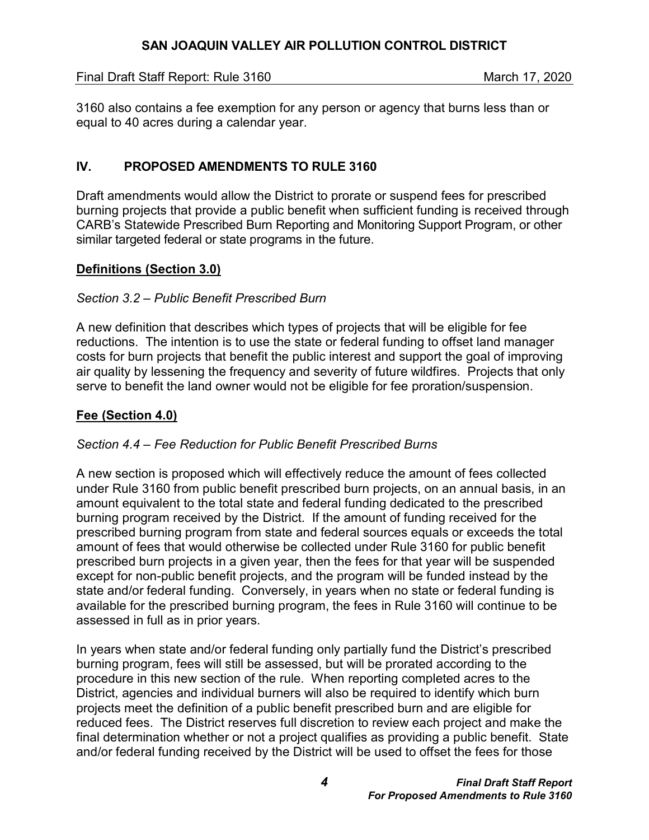Final Draft Staff Report: Rule 3160 March 17, 2020

3160 also contains a fee exemption for any person or agency that burns less than or equal to 40 acres during a calendar year.

## IV. PROPOSED AMENDMENTS TO RULE 3160

Draft amendments would allow the District to prorate or suspend fees for prescribed burning projects that provide a public benefit when sufficient funding is received through CARB's Statewide Prescribed Burn Reporting and Monitoring Support Program, or other similar targeted federal or state programs in the future.

#### Definitions (Section 3.0)

#### Section 3.2 – Public Benefit Prescribed Burn

A new definition that describes which types of projects that will be eligible for fee reductions. The intention is to use the state or federal funding to offset land manager costs for burn projects that benefit the public interest and support the goal of improving air quality by lessening the frequency and severity of future wildfires. Projects that only serve to benefit the land owner would not be eligible for fee proration/suspension.

### Fee (Section 4.0)

### Section 4.4 – Fee Reduction for Public Benefit Prescribed Burns

A new section is proposed which will effectively reduce the amount of fees collected under Rule 3160 from public benefit prescribed burn projects, on an annual basis, in an amount equivalent to the total state and federal funding dedicated to the prescribed burning program received by the District. If the amount of funding received for the prescribed burning program from state and federal sources equals or exceeds the total amount of fees that would otherwise be collected under Rule 3160 for public benefit prescribed burn projects in a given year, then the fees for that year will be suspended except for non-public benefit projects, and the program will be funded instead by the state and/or federal funding. Conversely, in years when no state or federal funding is available for the prescribed burning program, the fees in Rule 3160 will continue to be assessed in full as in prior years.

In years when state and/or federal funding only partially fund the District's prescribed burning program, fees will still be assessed, but will be prorated according to the procedure in this new section of the rule. When reporting completed acres to the District, agencies and individual burners will also be required to identify which burn projects meet the definition of a public benefit prescribed burn and are eligible for reduced fees. The District reserves full discretion to review each project and make the final determination whether or not a project qualifies as providing a public benefit. State and/or federal funding received by the District will be used to offset the fees for those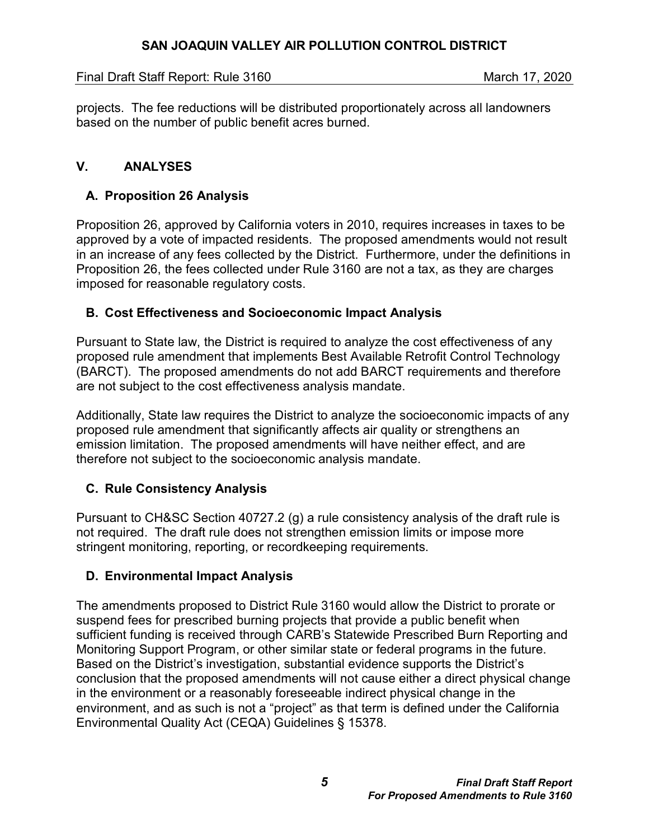Final Draft Staff Report: Rule 3160 March 17, 2020

projects. The fee reductions will be distributed proportionately across all landowners based on the number of public benefit acres burned.

# V. ANALYSES

# A. Proposition 26 Analysis

Proposition 26, approved by California voters in 2010, requires increases in taxes to be approved by a vote of impacted residents. The proposed amendments would not result in an increase of any fees collected by the District. Furthermore, under the definitions in Proposition 26, the fees collected under Rule 3160 are not a tax, as they are charges imposed for reasonable regulatory costs.

## B. Cost Effectiveness and Socioeconomic Impact Analysis

Pursuant to State law, the District is required to analyze the cost effectiveness of any proposed rule amendment that implements Best Available Retrofit Control Technology (BARCT). The proposed amendments do not add BARCT requirements and therefore are not subject to the cost effectiveness analysis mandate.

Additionally, State law requires the District to analyze the socioeconomic impacts of any proposed rule amendment that significantly affects air quality or strengthens an emission limitation. The proposed amendments will have neither effect, and are therefore not subject to the socioeconomic analysis mandate.

# C. Rule Consistency Analysis

Pursuant to CH&SC Section 40727.2 (g) a rule consistency analysis of the draft rule is not required. The draft rule does not strengthen emission limits or impose more stringent monitoring, reporting, or recordkeeping requirements.

## D. Environmental Impact Analysis

The amendments proposed to District Rule 3160 would allow the District to prorate or suspend fees for prescribed burning projects that provide a public benefit when sufficient funding is received through CARB's Statewide Prescribed Burn Reporting and Monitoring Support Program, or other similar state or federal programs in the future. Based on the District's investigation, substantial evidence supports the District's conclusion that the proposed amendments will not cause either a direct physical change in the environment or a reasonably foreseeable indirect physical change in the environment, and as such is not a "project" as that term is defined under the California Environmental Quality Act (CEQA) Guidelines § 15378.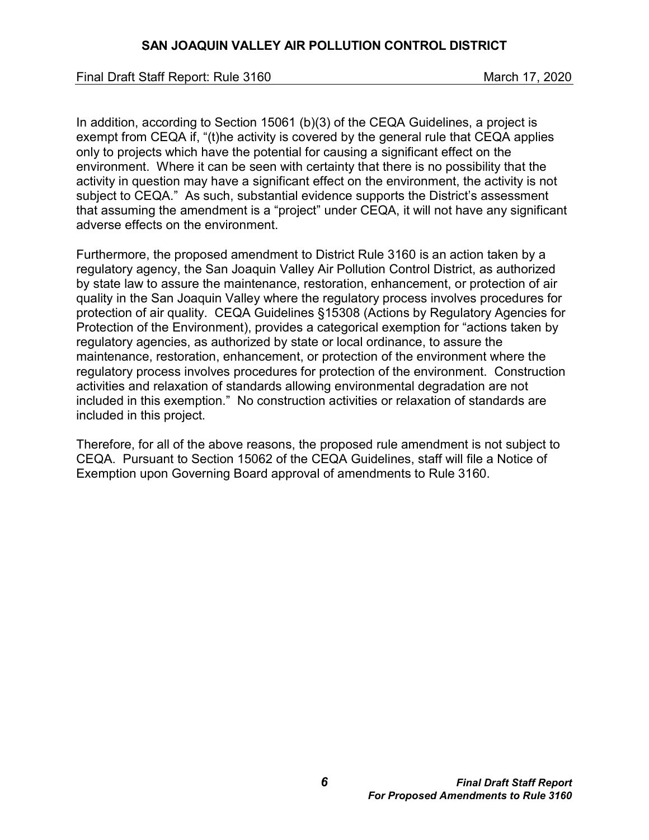Final Draft Staff Report: Rule 3160 March 17, 2020

In addition, according to Section 15061 (b)(3) of the CEQA Guidelines, a project is exempt from CEQA if, "(t)he activity is covered by the general rule that CEQA applies only to projects which have the potential for causing a significant effect on the environment. Where it can be seen with certainty that there is no possibility that the activity in question may have a significant effect on the environment, the activity is not subject to CEQA." As such, substantial evidence supports the District's assessment that assuming the amendment is a "project" under CEQA, it will not have any significant adverse effects on the environment.

Furthermore, the proposed amendment to District Rule 3160 is an action taken by a regulatory agency, the San Joaquin Valley Air Pollution Control District, as authorized by state law to assure the maintenance, restoration, enhancement, or protection of air quality in the San Joaquin Valley where the regulatory process involves procedures for protection of air quality. CEQA Guidelines §15308 (Actions by Regulatory Agencies for Protection of the Environment), provides a categorical exemption for "actions taken by regulatory agencies, as authorized by state or local ordinance, to assure the maintenance, restoration, enhancement, or protection of the environment where the regulatory process involves procedures for protection of the environment. Construction activities and relaxation of standards allowing environmental degradation are not included in this exemption." No construction activities or relaxation of standards are included in this project.

Therefore, for all of the above reasons, the proposed rule amendment is not subject to CEQA. Pursuant to Section 15062 of the CEQA Guidelines, staff will file a Notice of Exemption upon Governing Board approval of amendments to Rule 3160.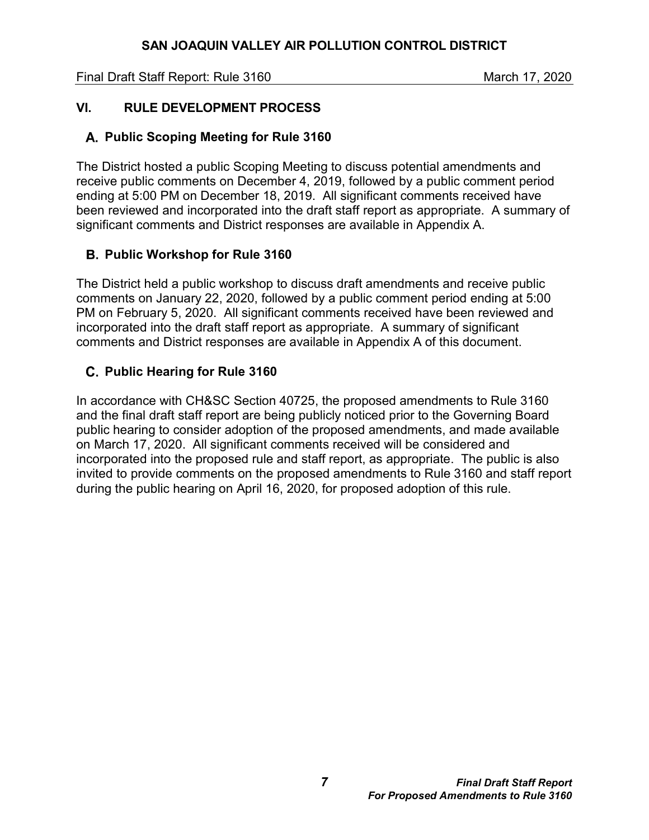Final Draft Staff Report: Rule 3160 March 17, 2020

#### VI. RULE DEVELOPMENT PROCESS

## A. Public Scoping Meeting for Rule 3160

The District hosted a public Scoping Meeting to discuss potential amendments and receive public comments on December 4, 2019, followed by a public comment period ending at 5:00 PM on December 18, 2019. All significant comments received have been reviewed and incorporated into the draft staff report as appropriate. A summary of significant comments and District responses are available in Appendix A.

### **B. Public Workshop for Rule 3160**

The District held a public workshop to discuss draft amendments and receive public comments on January 22, 2020, followed by a public comment period ending at 5:00 PM on February 5, 2020. All significant comments received have been reviewed and incorporated into the draft staff report as appropriate. A summary of significant comments and District responses are available in Appendix A of this document.

## C. Public Hearing for Rule 3160

In accordance with CH&SC Section 40725, the proposed amendments to Rule 3160 and the final draft staff report are being publicly noticed prior to the Governing Board public hearing to consider adoption of the proposed amendments, and made available on March 17, 2020. All significant comments received will be considered and incorporated into the proposed rule and staff report, as appropriate. The public is also invited to provide comments on the proposed amendments to Rule 3160 and staff report during the public hearing on April 16, 2020, for proposed adoption of this rule.